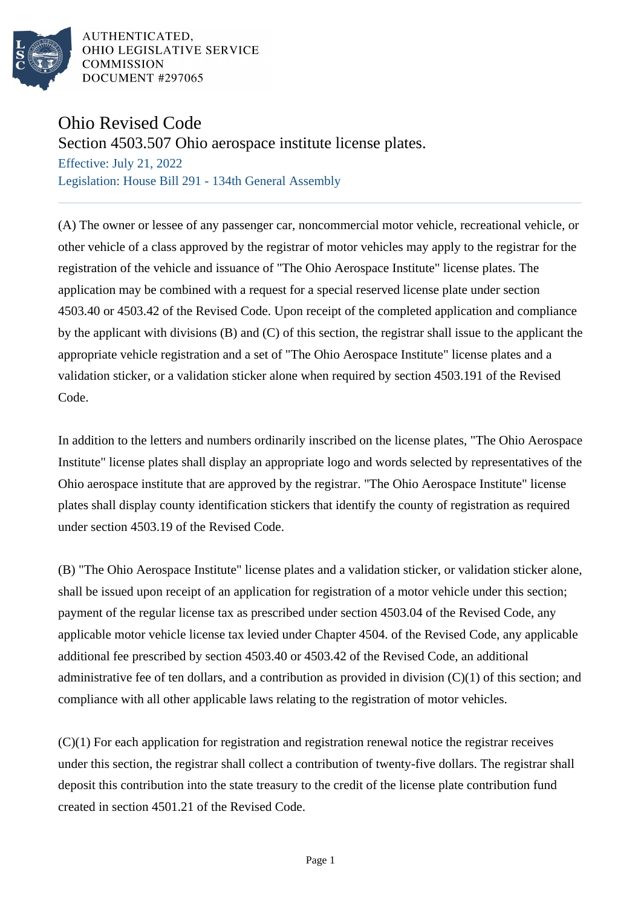

AUTHENTICATED. OHIO LEGISLATIVE SERVICE **COMMISSION** DOCUMENT #297065

## Ohio Revised Code

Section 4503.507 Ohio aerospace institute license plates.

Effective: July 21, 2022 Legislation: House Bill 291 - 134th General Assembly

(A) The owner or lessee of any passenger car, noncommercial motor vehicle, recreational vehicle, or other vehicle of a class approved by the registrar of motor vehicles may apply to the registrar for the registration of the vehicle and issuance of "The Ohio Aerospace Institute" license plates. The application may be combined with a request for a special reserved license plate under section 4503.40 or 4503.42 of the Revised Code. Upon receipt of the completed application and compliance by the applicant with divisions (B) and (C) of this section, the registrar shall issue to the applicant the appropriate vehicle registration and a set of "The Ohio Aerospace Institute" license plates and a validation sticker, or a validation sticker alone when required by section 4503.191 of the Revised Code.

In addition to the letters and numbers ordinarily inscribed on the license plates, "The Ohio Aerospace Institute" license plates shall display an appropriate logo and words selected by representatives of the Ohio aerospace institute that are approved by the registrar. "The Ohio Aerospace Institute" license plates shall display county identification stickers that identify the county of registration as required under section 4503.19 of the Revised Code.

(B) "The Ohio Aerospace Institute" license plates and a validation sticker, or validation sticker alone, shall be issued upon receipt of an application for registration of a motor vehicle under this section; payment of the regular license tax as prescribed under section 4503.04 of the Revised Code, any applicable motor vehicle license tax levied under Chapter 4504. of the Revised Code, any applicable additional fee prescribed by section 4503.40 or 4503.42 of the Revised Code, an additional administrative fee of ten dollars, and a contribution as provided in division (C)(1) of this section; and compliance with all other applicable laws relating to the registration of motor vehicles.

(C)(1) For each application for registration and registration renewal notice the registrar receives under this section, the registrar shall collect a contribution of twenty-five dollars. The registrar shall deposit this contribution into the state treasury to the credit of the license plate contribution fund created in section 4501.21 of the Revised Code.